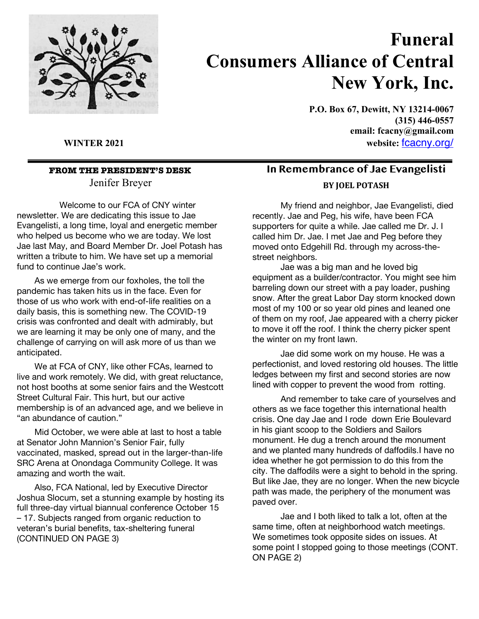

## **Funeral Consumers Alliance of Central New York, Inc.**

**P.O. Box 67, Dewitt, NY 13214-0067 (315) 446-0557 email: fcacny@gmail.com WINTER 2021 website:** fcacny.org/

### **FROM THE PRESIDENT'S DESK** Jenifer Breyer

 Welcome to our FCA of CNY winter newsletter. We are dedicating this issue to Jae Evangelisti, a long time, loyal and energetic member who helped us become who we are today. We lost Jae last May, and Board Member Dr. Joel Potash has written a tribute to him. We have set up a memorial fund to continue Jae's work.

As we emerge from our foxholes, the toll the pandemic has taken hits us in the face. Even for those of us who work with end-of-life realities on a daily basis, this is something new. The COVID-19 crisis was confronted and dealt with admirably, but we are learning it may be only one of many, and the challenge of carrying on will ask more of us than we anticipated.

We at FCA of CNY, like other FCAs, learned to live and work remotely. We did, with great reluctance, not host booths at some senior fairs and the Westcott Street Cultural Fair. This hurt, but our active membership is of an advanced age, and we believe in "an abundance of caution."

Mid October, we were able at last to host a table at Senator John Mannion's Senior Fair, fully vaccinated, masked, spread out in the larger-than-life SRC Arena at Onondaga Community College. It was amazing and worth the wait.

Also, FCA National, led by Executive Director Joshua Slocum, set a stunning example by hosting its full three-day virtual biannual conference October 15 – 17. Subjects ranged from organic reduction to veteran's burial benefits, tax-sheltering funeral (CONTINUED ON PAGE 3)

## **In Remembrance of Jae Evangelisti BY JOEL POTASH**

My friend and neighbor, Jae Evangelisti, died recently. Jae and Peg, his wife, have been FCA supporters for quite a while. Jae called me Dr. J. I called him Dr. Jae. I met Jae and Peg before they moved onto Edgehill Rd. through my across-thestreet neighbors.

Jae was a big man and he loved big equipment as a builder/contractor. You might see him barreling down our street with a pay loader, pushing snow. After the great Labor Day storm knocked down most of my 100 or so year old pines and leaned one of them on my roof, Jae appeared with a cherry picker to move it off the roof. I think the cherry picker spent the winter on my front lawn.

Jae did some work on my house. He was a perfectionist, and loved restoring old houses. The little ledges between my first and second stories are now lined with copper to prevent the wood from rotting.

And remember to take care of yourselves and others as we face together this international health crisis. One day Jae and I rode down Erie Boulevard in his giant scoop to the Soldiers and Sailors monument. He dug a trench around the monument and we planted many hundreds of daffodils.I have no idea whether he got permission to do this from the city. The daffodils were a sight to behold in the spring. But like Jae, they are no longer. When the new bicycle path was made, the periphery of the monument was paved over.

Jae and I both liked to talk a lot, often at the same time, often at neighborhood watch meetings. We sometimes took opposite sides on issues. At some point I stopped going to those meetings (CONT. ON PAGE 2)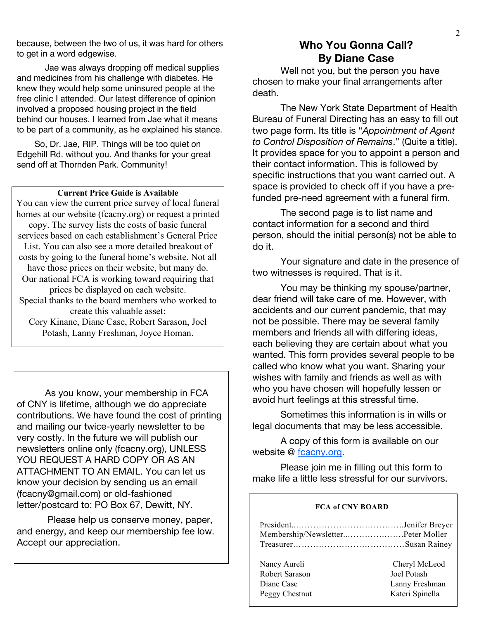because, between the two of us, it was hard for others to get in a word edgewise.

Jae was always dropping off medical supplies and medicines from his challenge with diabetes. He knew they would help some uninsured people at the free clinic I attended. Our latest difference of opinion involved a proposed housing project in the field behind our houses. I learned from Jae what it means to be part of a community, as he explained his stance.

So, Dr. Jae, RIP. Things will be too quiet on Edgehill Rd. without you. And thanks for your great send off at Thornden Park. Community!

#### **Current Price Guide is Available**

You can view the current price survey of local funeral homes at our website (fcacny.org) or request a printed copy. The survey lists the costs of basic funeral services based on each establishment's General Price List. You can also see a more detailed breakout of costs by going to the funeral home's website. Not all have those prices on their website, but many do. Our national FCA is working toward requiring that prices be displayed on each website. Special thanks to the board members who worked to create this valuable asset: Cory Kinane, Diane Case, Robert Sarason, Joel Potash, Lanny Freshman, Joyce Homan.

As you know, your membership in FCA of CNY is lifetime, although we do appreciate contributions. We have found the cost of printing and mailing our twice-yearly newsletter to be very costly. In the future we will publish our newsletters online only (fcacny.org), UNLESS YOU REQUEST A HARD COPY OR AS AN ATTACHMENT TO AN EMAIL. You can let us know your decision by sending us an email (fcacny@gmail.com) or old-fashioned letter/postcard to: PO Box 67, Dewitt, NY.

Please help us conserve money, paper, and energy, and keep our membership fee low. Accept our appreciation.

#### **Who You Gonna Call? By Diane Case**

Well not you, but the person you have chosen to make your final arrangements after death.

The New York State Department of Health Bureau of Funeral Directing has an easy to fill out two page form. Its title is "*Appointment of Agent to Control Disposition of Remains*." (Quite a title). It provides space for you to appoint a person and their contact information. This is followed by specific instructions that you want carried out. A space is provided to check off if you have a prefunded pre-need agreement with a funeral firm.

The second page is to list name and contact information for a second and third person, should the initial person(s) not be able to do it.

Your signature and date in the presence of two witnesses is required. That is it.

You may be thinking my spouse/partner, dear friend will take care of me. However, with accidents and our current pandemic, that may not be possible. There may be several family members and friends all with differing ideas, each believing they are certain about what you wanted. This form provides several people to be called who know what you want. Sharing your wishes with family and friends as well as with who you have chosen will hopefully lessen or avoid hurt feelings at this stressful time.

Sometimes this information is in wills or legal documents that may be less accessible.

A copy of this form is available on our website @ fcacny.org.

Please join me in filling out this form to make life a little less stressful for our survivors.

wing and  $\alpha$  in the set of  $\alpha$  in the set of  $\alpha$ 

## **FCA of CNY BOARD**

| Membership/NewsletterPeter Moller |                 |
|-----------------------------------|-----------------|
| Nancy Aureli                      | Cheryl McLeod   |
| Robert Sarason                    | Joel Potash     |
| Diane Case                        | Lanny Freshman  |
| Peggy Chestnut                    | Kateri Spinella |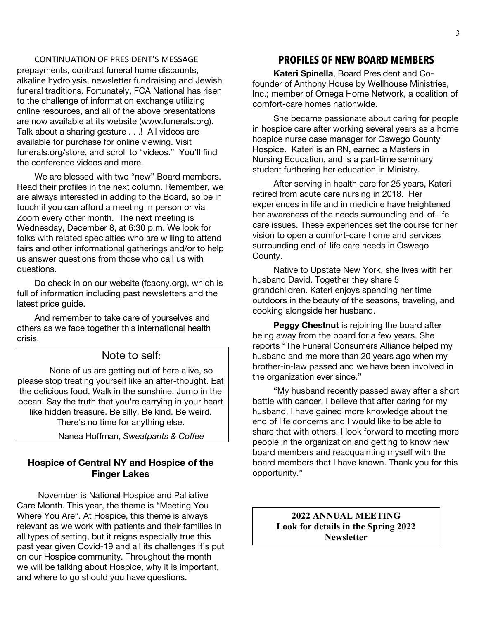#### CONTINUATION OF PRESIDENT'S MESSAGE

prepayments, contract funeral home discounts, alkaline hydrolysis, newsletter fundraising and Jewish funeral traditions. Fortunately, FCA National has risen to the challenge of information exchange utilizing online resources, and all of the above presentations are now available at its website (www.funerals.org). Talk about a sharing gesture . . .! All videos are available for purchase for online viewing. Visit funerals.org/store, and scroll to "videos." You'll find the conference videos and more.

We are blessed with two "new" Board members. Read their profiles in the next column. Remember, we are always interested in adding to the Board, so be in touch if you can afford a meeting in person or via Zoom every other month. The next meeting is Wednesday, December 8, at 6:30 p.m. We look for folks with related specialties who are willing to attend fairs and other informational gatherings and/or to help us answer questions from those who call us with questions.

Do check in on our website (fcacny.org), which is full of information including past newsletters and the latest price guide.

And remember to take care of yourselves and others as we face together this international health crisis.

#### Note to self:

None of us are getting out of here alive, so please stop treating yourself like an after-thought. Eat the delicious food. Walk in the sunshine. Jump in the ocean. Say the truth that you're carrying in your heart like hidden treasure. Be silly. Be kind. Be weird. There's no time for anything else.

Nanea Hoffman, *Sweatpants & Coffee*

#### **Hospice of Central NY and Hospice of the Finger Lakes**

November is National Hospice and Palliative Care Month. This year, the theme is "Meeting You Where You Are". At Hospice, this theme is always relevant as we work with patients and their families in all types of setting, but it reigns especially true this past year given Covid-19 and all its challenges it's put on our Hospice community. Throughout the month we will be talking about Hospice, why it is important, and where to go should you have questions.

#### **PROFILES OF NEW BOARD MEMBERS**

**Kateri Spinella**, Board President and Cofounder of Anthony House by Wellhouse Ministries, Inc.; member of Omega Home Network, a coalition of comfort-care homes nationwide.

She became passionate about caring for people in hospice care after working several years as a home hospice nurse case manager for Oswego County Hospice. Kateri is an RN, earned a Masters in Nursing Education, and is a part-time seminary student furthering her education in Ministry.

After serving in health care for 25 years, Kateri retired from acute care nursing in 2018. Her experiences in life and in medicine have heightened her awareness of the needs surrounding end-of-life care issues. These experiences set the course for her vision to open a comfort-care home and services surrounding end-of-life care needs in Oswego County.

Native to Upstate New York, she lives with her husband David. Together they share 5 grandchildren. Kateri enjoys spending her time outdoors in the beauty of the seasons, traveling, and cooking alongside her husband.

**Peggy Chestnut** is rejoining the board after being away from the board for a few years. She reports "The Funeral Consumers Alliance helped my husband and me more than 20 years ago when my brother-in-law passed and we have been involved in the organization ever since."

"My husband recently passed away after a short battle with cancer. I believe that after caring for my husband, I have gained more knowledge about the end of life concerns and I would like to be able to share that with others. I look forward to meeting more people in the organization and getting to know new board members and reacquainting myself with the board members that I have known. Thank you for this opportunity."

> **2022 ANNUAL MEETING Look for details in the Spring 2022 Newsletter**